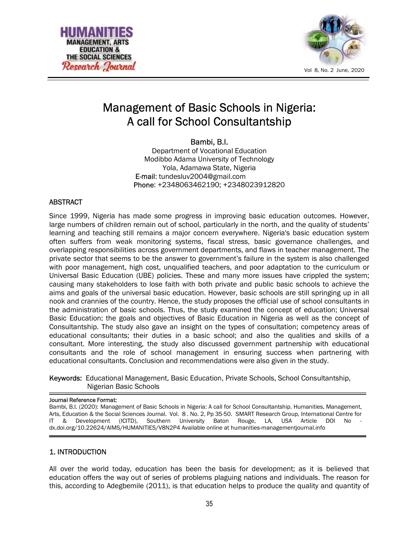



# Management of Basic Schools in Nigeria: A call for School Consultantship

Bambi, B.I.

Department of Vocational Education Modibbo Adama University of Technology Yola, Adamawa State, Nigeria E-mail: tundesluv2004@gmail.com Phone: +2348063462190; +2348023912820

### ABSTRACT

Since 1999, Nigeria has made some progress in improving basic education outcomes. However, large numbers of children remain out of school, particularly in the north, and the quality of students' learning and teaching still remains a major concern everywhere. Nigeria's basic education system often suffers from weak monitoring systems, fiscal stress, basic governance challenges, and overlapping responsibilities across government departments, and flaws in teacher management. The private sector that seems to be the answer to government's failure in the system is also challenged with poor management, high cost, unqualified teachers, and poor adaptation to the curriculum or Universal Basic Education (UBE) policies. These and many more issues have crippled the system; causing many stakeholders to lose faith with both private and public basic schools to achieve the aims and goals of the universal basic education. However, basic schools are still springing up in all nook and crannies of the country. Hence, the study proposes the official use of school consultants in the administration of basic schools. Thus, the study examined the concept of education; Universal Basic Education; the goals and objectives of Basic Education in Nigeria as well as the concept of Consultantship. The study also gave an insight on the types of consultation; competency areas of educational consultants; their duties in a basic school; and also the qualities and skills of a consultant. More interesting, the study also discussed government partnership with educational consultants and the role of school management in ensuring success when partnering with educational consultants. Conclusion and recommendations were also given in the study.

### Keywords: Educational Management, Basic Education, Private Schools, School Consultantship, Nigerian Basic Schools

#### Journal Reference Format:

Bambi, B.I. (2020): Management of Basic Schools in Nigeria: A call for School Consultantship. Humanities, Management, Arts, Education & the Social Sciences Journal. Vol. 8 . No. 2, Pp 35-50. SMART Research Group, International Centre for IT & Development (ICITD), Southern University Baton Rouge, LA, USA Article DOI No dx.doi.org/10.22624/AIMS/HUMANITIES/V8N2P4 Available online at humanities-managementjournal.info

### 1. INTRODUCTION

All over the world today, education has been the basis for development; as it is believed that education offers the way out of series of problems plaguing nations and individuals. The reason for this, according to Adegbemile (2011), is that education helps to produce the quality and quantity of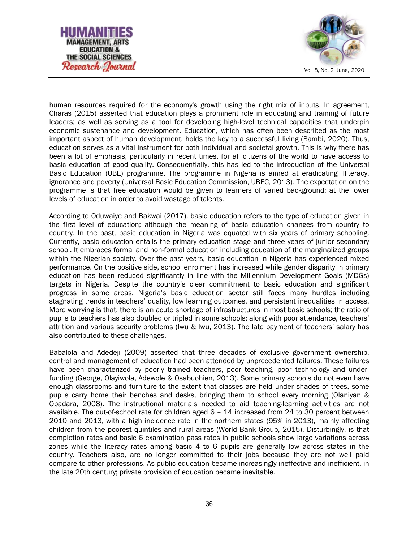



human resources required for the economy's growth using the right mix of inputs. In agreement, Charas (2015) asserted that education plays a prominent role in educating and training of future leaders; as well as serving as a tool for developing high-level technical capacities that underpin economic sustenance and development. Education, which has often been described as the most important aspect of human development, holds the key to a successful living (Bambi, 2020). Thus, education serves as a vital instrument for both individual and societal growth. This is why there has been a lot of emphasis, particularly in recent times, for all citizens of the world to have access to basic education of good quality. Consequentially, this has led to the introduction of the Universal Basic Education (UBE) programme. The programme in Nigeria is aimed at eradicating illiteracy, ignorance and poverty (Universal Basic Education Commission, UBEC, 2013). The expectation on the programme is that free education would be given to learners of varied background; at the lower levels of education in order to avoid wastage of talents.

According to Oduwaiye and Bakwai (2017), basic education refers to the type of education given in the first level of education; although the meaning of basic education changes from country to country. In the past, basic education in Nigeria was equated with six years of primary schooling. Currently, basic education entails the primary education stage and three years of junior secondary school. It embraces formal and non-formal education including education of the marginalized groups within the Nigerian society. Over the past years, basic education in Nigeria has experienced mixed performance. On the positive side, school enrolment has increased while gender disparity in primary education has been reduced significantly in line with the Millennium Development Goals (MDGs) targets in Nigeria. Despite the country's clear commitment to basic education and significant progress in some areas, Nigeria's basic education sector still faces many hurdles including stagnating trends in teachers' quality, low learning outcomes, and persistent inequalities in access. More worrying is that, there is an acute shortage of infrastructures in most basic schools; the ratio of pupils to teachers has also doubled or tripled in some schools; along with poor attendance, teachers' attrition and various security problems (Iwu & Iwu, 2013). The late payment of teachers' salary has also contributed to these challenges.

Babalola and Adedeji (2009) asserted that three decades of exclusive government ownership, control and management of education had been attended by unprecedented failures. These failures have been characterized by poorly trained teachers, poor teaching, poor technology and underfunding (George, Olayiwola, Adewole & Osabuohien, 2013). Some primary schools do not even have enough classrooms and furniture to the extent that classes are held under shades of trees, some pupils carry home their benches and desks, bringing them to school every morning (Olaniyan & Obadara, 2008). The instructional materials needed to aid teaching-learning activities are not available. The out-of-school rate for children aged 6 – 14 increased from 24 to 30 percent between 2010 and 2013, with a high incidence rate in the northern states (95% in 2013), mainly affecting children from the poorest quintiles and rural areas (World Bank Group, 2015). Disturbingly, is that completion rates and basic 6 examination pass rates in public schools show large variations across zones while the literacy rates among basic 4 to 6 pupils are generally low across states in the country. Teachers also, are no longer committed to their jobs because they are not well paid compare to other professions. As public education became increasingly ineffective and inefficient, in the late 20th century; private provision of education became inevitable.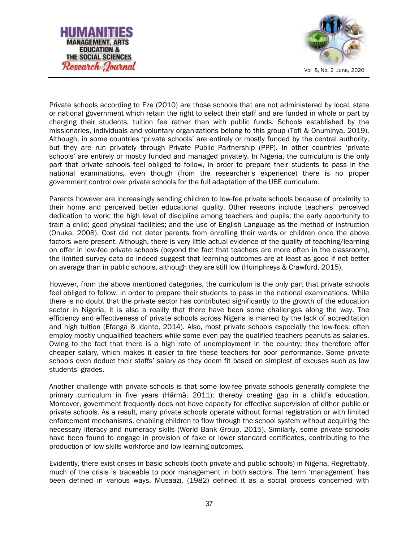



Private schools according to Eze (2010) are those schools that are not administered by local, state or national government which retain the right to select their staff and are funded in whole or part by charging their students, tuition fee rather than with public funds. Schools established by the missionaries, individuals and voluntary organizations belong to this group (Tofi & Onuminya, 2019). Although, in some countries 'private schools' are entirely or mostly funded by the central authority, but they are run privately through Private Public Partnership (PPP). In other countries 'private schools' are entirely or mostly funded and managed privately. In Nigeria, the curriculum is the only part that private schools feel obliged to follow, in order to prepare their students to pass in the national examinations, even though (from the researcher's experience) there is no proper government control over private schools for the full adaptation of the UBE curriculum.

Parents however are increasingly sending children to low-fee private schools because of proximity to their home and perceived better educational quality. Other reasons include teachers' perceived dedication to work; the high level of discipline among teachers and pupils; the early opportunity to train a child; good physical facilities; and the use of English Language as the method of instruction (Onuka, 2008). Cost did not deter parents from enrolling their wards or children once the above factors were present. Although, there is very little actual evidence of the quality of teaching/learning on offer in low-fee private schools (beyond the fact that teachers are more often in the classroom), the limited survey data do indeed suggest that learning outcomes are at least as good if not better on average than in public schools, although they are still low (Humphreys & Crawfurd, 2015).

However, from the above mentioned categories, the curriculum is the only part that private schools feel obliged to follow, in order to prepare their students to pass in the national examinations. While there is no doubt that the private sector has contributed significantly to the growth of the education sector in Nigeria, it is also a reality that there have been some challenges along the way. The efficiency and effectiveness of private schools across Nigeria is marred by the lack of accreditation and high tuition (Efanga & Idante, 2014). Also, most private schools especially the low-fees; often employ mostly unqualified teachers while some even pay the qualified teachers peanuts as salaries. Owing to the fact that there is a high rate of unemployment in the country; they therefore offer cheaper salary, which makes it easier to fire these teachers for poor performance. Some private schools even deduct their staffs' salary as they deem fit based on simplest of excuses such as low students' grades.

Another challenge with private schools is that some low-fee private schools generally complete the primary curriculum in five years (Härmä, 2011); thereby creating gap in a child's education. Moreover, government frequently does not have capacity for effective supervision of either public or private schools. As a result, many private schools operate without formal registration or with limited enforcement mechanisms, enabling children to flow through the school system without acquiring the necessary literacy and numeracy skills (World Bank Group, 2015). Similarly, some private schools have been found to engage in provision of fake or lower standard certificates, contributing to the production of low skills workforce and low learning outcomes.

Evidently, there exist crises in basic schools (both private and public schools) in Nigeria. Regrettably, much of the crisis is traceable to poor management in both sectors. The term 'management' has been defined in various ways. Musaazi, (1982) defined it as a social process concerned with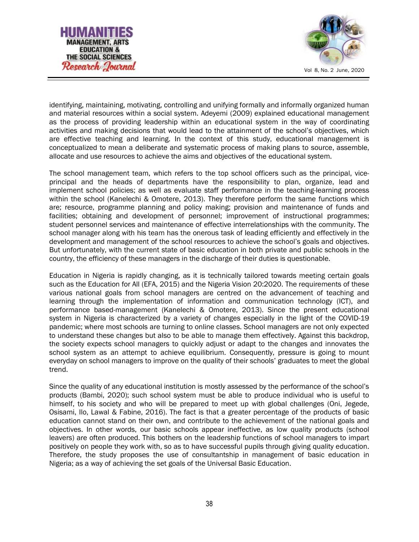



identifying, maintaining, motivating, controlling and unifying formally and informally organized human and material resources within a social system. Adeyemi (2009) explained educational management as the process of providing leadership within an educational system in the way of coordinating activities and making decisions that would lead to the attainment of the school's objectives, which are effective teaching and learning. In the context of this study, educational management is conceptualized to mean a deliberate and systematic process of making plans to source, assemble, allocate and use resources to achieve the aims and objectives of the educational system.

The school management team, which refers to the top school officers such as the principal, viceprincipal and the heads of departments have the responsibility to plan, organize, lead and implement school policies; as well as evaluate staff performance in the teaching-learning process within the school (Kanelechi & Omotere, 2013). They therefore perform the same functions which are; resource, programme planning and policy making; provision and maintenance of funds and facilities; obtaining and development of personnel; improvement of instructional programmes; student personnel services and maintenance of effective interrelationships with the community. The school manager along with his team has the onerous task of leading efficiently and effectively in the development and management of the school resources to achieve the school's goals and objectives. But unfortunately, with the current state of basic education in both private and public schools in the country, the efficiency of these managers in the discharge of their duties is questionable.

Education in Nigeria is rapidly changing, as it is technically tailored towards meeting certain goals such as the Education for All (EFA, 2015) and the Nigeria Vision 20:2020. The requirements of these various national goals from school managers are centred on the advancement of teaching and learning through the implementation of information and communication technology (ICT), and performance based-management (Kanelechi & Omotere, 2013). Since the present educational system in Nigeria is characterized by a variety of changes especially in the light of the COVID-19 pandemic; where most schools are turning to online classes. School managers are not only expected to understand these changes but also to be able to manage them effectively. Against this backdrop, the society expects school managers to quickly adjust or adapt to the changes and innovates the school system as an attempt to achieve equilibrium. Consequently, pressure is going to mount everyday on school managers to improve on the quality of their schools' graduates to meet the global trend.

Since the quality of any educational institution is mostly assessed by the performance of the school's products (Bambi, 2020); such school system must be able to produce individual who is useful to himself, to his society and who will be prepared to meet up with global challenges (Oni, Jegede, Osisami, Ilo, Lawal & Fabine, 2016). The fact is that a greater percentage of the products of basic education cannot stand on their own, and contribute to the achievement of the national goals and objectives. In other words, our basic schools appear ineffective, as low quality products (school leavers) are often produced. This bothers on the leadership functions of school managers to impart positively on people they work with, so as to have successful pupils through giving quality education. Therefore, the study proposes the use of consultantship in management of basic education in Nigeria; as a way of achieving the set goals of the Universal Basic Education.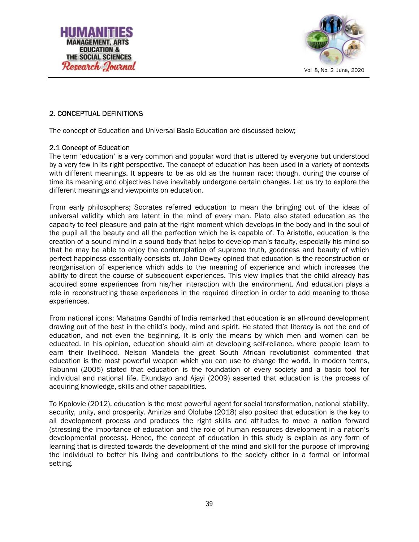



## 2. CONCEPTUAL DEFINITIONS

The concept of Education and Universal Basic Education are discussed below;

#### 2.1 Concept of Education

The term 'education' is a very common and popular word that is uttered by everyone but understood by a very few in its right perspective. The concept of education has been used in a variety of contexts with different meanings. It appears to be as old as the human race; though, during the course of time its meaning and objectives have inevitably undergone certain changes. Let us try to explore the different meanings and viewpoints on education.

From early philosophers; Socrates referred education to mean the bringing out of the ideas of universal validity which are latent in the mind of every man. Plato also stated education as the capacity to feel pleasure and pain at the right moment which develops in the body and in the soul of the pupil all the beauty and all the perfection which he is capable of. To Aristotle, education is the creation of a sound mind in a sound body that helps to develop man's faculty, especially his mind so that he may be able to enjoy the contemplation of supreme truth, goodness and beauty of which perfect happiness essentially consists of. John Dewey opined that education is the reconstruction or reorganisation of experience which adds to the meaning of experience and which increases the ability to direct the course of subsequent experiences. This view implies that the child already has acquired some experiences from his/her interaction with the environment. And education plays a role in reconstructing these experiences in the required direction in order to add meaning to those experiences.

From national icons; Mahatma Gandhi of India remarked that education is an all-round development drawing out of the best in the child's body, mind and spirit. He stated that literacy is not the end of education, and not even the beginning. It is only the means by which men and women can be educated. In his opinion, education should aim at developing self-reliance, where people learn to earn their livelihood. Nelson Mandela the great South African revolutionist commented that education is the most powerful weapon which you can use to change the world. In modern terms, Fabunmi (2005) stated that education is the foundation of every society and a basic tool for individual and national life. Ekundayo and Ajayi (2009) asserted that education is the process of acquiring knowledge, skills and other capabilities.

To Kpolovie (2012), education is the most powerful agent for social transformation, national stability, security, unity, and prosperity. Amirize and Ololube (2018) also posited that education is the key to all development process and produces the right skills and attitudes to move a nation forward (stressing the importance of education and the role of human resources development in a nation's developmental process). Hence, the concept of education in this study is explain as any form of learning that is directed towards the development of the mind and skill for the purpose of improving the individual to better his living and contributions to the society either in a formal or informal setting.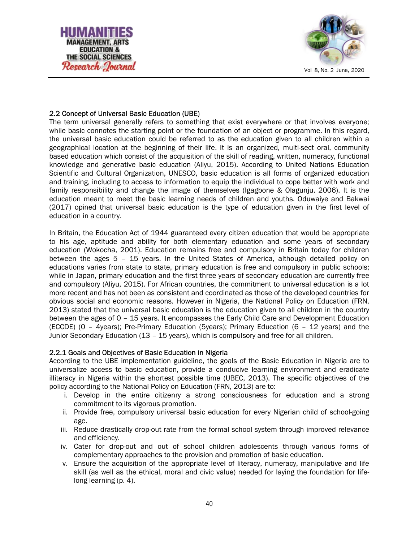



### 2.2 Concept of Universal Basic Education (UBE)

The term universal generally refers to something that exist everywhere or that involves everyone; while basic connotes the starting point or the foundation of an object or programme. In this regard, the universal basic education could be referred to as the education given to all children within a geographical location at the beginning of their life. It is an organized, multi-sect oral, community based education which consist of the acquisition of the skill of reading, written, numeracy, functional knowledge and generative basic education (Aliyu, 2015). According to United Nations Education Scientific and Cultural Organization, UNESCO, basic education is all forms of organized education and training, including to access to information to equip the individual to cope better with work and family responsibility and change the image of themselves (Igagbone & Olagunju, 2006). It is the education meant to meet the basic learning needs of children and youths. Oduwaiye and Bakwai (2017) opined that universal basic education is the type of education given in the first level of education in a country.

In Britain, the Education Act of 1944 guaranteed every citizen education that would be appropriate to his age, aptitude and ability for both elementary education and some years of secondary education (Wokocha, 2001). Education remains free and compulsory in Britain today for children between the ages 5 – 15 years. In the United States of America, although detailed policy on educations varies from state to state, primary education is free and compulsory in public schools; while in Japan, primary education and the first three years of secondary education are currently free and compulsory (Aliyu, 2015). For African countries, the commitment to universal education is a lot more recent and has not been as consistent and coordinated as those of the developed countries for obvious social and economic reasons. However in Nigeria, the National Policy on Education (FRN, 2013) stated that the universal basic education is the education given to all children in the country between the ages of 0 – 15 years. It encompasses the Early Child Care and Development Education (ECCDE) (0 – 4years); Pre-Primary Education (5years); Primary Education (6 – 12 years) and the Junior Secondary Education (13 – 15 years), which is compulsory and free for all children.

#### 2.2.1 Goals and Objectives of Basic Education in Nigeria

According to the UBE implementation guideline, the goals of the Basic Education in Nigeria are to universalize access to basic education, provide a conducive learning environment and eradicate illiteracy in Nigeria within the shortest possible time (UBEC, 2013). The specific objectives of the policy according to the National Policy on Education (FRN, 2013) are to:

- i. Develop in the entire citizenry a strong consciousness for education and a strong commitment to its vigorous promotion.
- ii. Provide free, compulsory universal basic education for every Nigerian child of school-going age.
- iii. Reduce drastically drop-out rate from the formal school system through improved relevance and efficiency.
- iv. Cater for drop-out and out of school children adolescents through various forms of complementary approaches to the provision and promotion of basic education.
- v. Ensure the acquisition of the appropriate level of literacy, numeracy, manipulative and life skill (as well as the ethical, moral and civic value) needed for laying the foundation for lifelong learning (p. 4).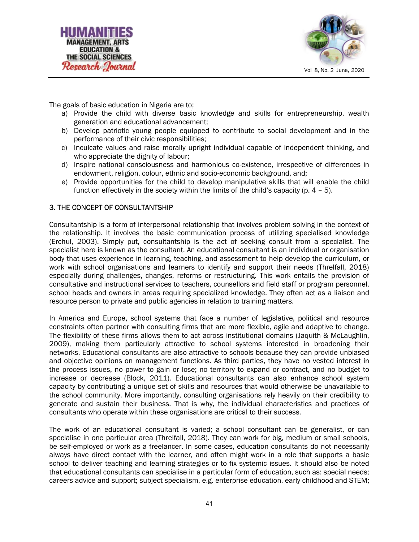



The goals of basic education in Nigeria are to;

- a) Provide the child with diverse basic knowledge and skills for entrepreneurship, wealth generation and educational advancement;
- b) Develop patriotic young people equipped to contribute to social development and in the performance of their civic responsibilities;
- c) Inculcate values and raise morally upright individual capable of independent thinking, and who appreciate the dignity of labour;
- d) Inspire national consciousness and harmonious co-existence, irrespective of differences in endowment, religion, colour, ethnic and socio-economic background, and;
- e) Provide opportunities for the child to develop manipulative skills that will enable the child function effectively in the society within the limits of the child's capacity (p.  $4 - 5$ ).

#### 3. THE CONCEPT OF CONSULTANTSHIP

Consultantship is a form of interpersonal relationship that involves problem solving in the context of the relationship. It involves the basic communication process of utilizing specialised knowledge (Erchul, 2003). Simply put, consultantship is the act of seeking consult from a specialist. The specialist here is known as the consultant. An educational consultant is an individual or organisation body that uses experience in learning, teaching, and assessment to help develop the curriculum, or work with school organisations and learners to identify and support their needs (Threlfall, 2018) especially during challenges, changes, reforms or restructuring. This work entails the provision of consultative and instructional services to teachers, counsellors and field staff or program personnel, school heads and owners in areas requiring specialized knowledge. They often act as a liaison and resource person to private and public agencies in relation to training matters.

In America and Europe, school systems that face a number of legislative, political and resource constraints often partner with consulting firms that are more flexible, agile and adaptive to change. The flexibility of these firms allows them to act across institutional domains (Jaquith & McLaughlin, 2009), making them particularly attractive to school systems interested in broadening their networks. Educational consultants are also attractive to schools because they can provide unbiased and objective opinions on management functions. As third parties, they have no vested interest in the process issues, no power to gain or lose; no territory to expand or contract, and no budget to increase or decrease (Block, 2011). Educational consultants can also enhance school system capacity by contributing a unique set of skills and resources that would otherwise be unavailable to the school community. More importantly, consulting organisations rely heavily on their credibility to generate and sustain their business. That is why, the individual characteristics and practices of consultants who operate within these organisations are critical to their success.

The work of an educational consultant is varied; a school consultant can be generalist, or can specialise in one particular area (Threlfall, 2018). They can work for big, medium or small schools, be self-employed or work as a freelancer. In some cases, education consultants do not necessarily always have direct contact with the learner, and often might work in a role that supports a basic school to deliver teaching and learning strategies or to fix systemic issues. It should also be noted that educational consultants can specialise in a particular form of education, such as: special needs; careers advice and support; subject specialism, e.g. enterprise education, early childhood and STEM;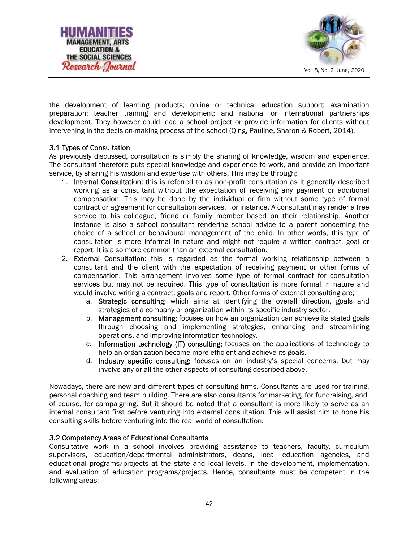



the development of learning products; online or technical education support; examination preparation; teacher training and development; and national or international partnerships development. They however could lead a school project or provide information for clients without intervening in the decision-making process of the school (Qing, Pauline, Sharon & Robert, 2014).

#### 3.1 Types of Consultation

As previously discussed, consultation is simply the sharing of knowledge, wisdom and experience. The consultant therefore puts special knowledge and experience to work, and provide an important service, by sharing his wisdom and expertise with others. This may be through;

- 1. Internal Consultation: this is referred to as non-profit consultation as it generally described working as a consultant without the expectation of receiving any payment or additional compensation. This may be done by the individual or firm without some type of formal contract or agreement for consultation services. For instance. A consultant may render a free service to his colleague, friend or family member based on their relationship. Another instance is also a school consultant rendering school advice to a parent concerning the choice of a school or behavioural management of the child. In other words, this type of consultation is more informal in nature and might not require a written contract, goal or report. It is also more common than an external consultation.
- 2. **External Consultation**: this is regarded as the formal working relationship between a consultant and the client with the expectation of receiving payment or other forms of compensation. This arrangement involves some type of formal contract for consultation services but may not be required. This type of consultation is more formal in nature and would involve writing a contract, goals and report. Other forms of external consulting are;
	- a. Strategic consulting; which aims at identifying the overall direction, goals and strategies of a company or organization within its specific industry sector.
	- b. Management consulting: focuses on how an organization can achieve its stated goals through choosing and implementing strategies, enhancing and streamlining operations, and improving information technology.
	- c. Information technology (IT) consulting: focuses on the applications of technology to help an organization become more efficient and achieve its goals.
	- d. Industry specific consulting: focuses on an industry's special concerns, but may involve any or all the other aspects of consulting described above.

Nowadays, there are new and different types of consulting firms. Consultants are used for training, personal coaching and team building. There are also consultants for marketing, for fundraising, and, of course, for campaigning. But it should be noted that a consultant is more likely to serve as an internal consultant first before venturing into external consultation. This will assist him to hone his consulting skills before venturing into the real world of consultation.

#### 3.2 Competency Areas of Educational Consultants

Consultative work in a school involves providing assistance to teachers, faculty, curriculum supervisors, education/departmental administrators, deans, local education agencies, and educational programs/projects at the state and local levels, in the development, implementation, and evaluation of education programs/projects. Hence, consultants must be competent in the following areas;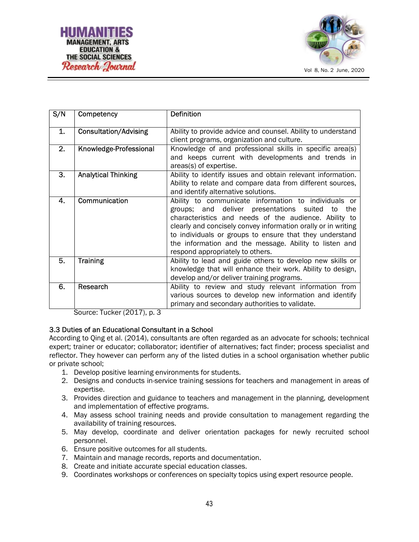

| S/N | Competency                   | <b>Definition</b>                                                                             |
|-----|------------------------------|-----------------------------------------------------------------------------------------------|
| 1.  | <b>Consultation/Advising</b> | Ability to provide advice and counsel. Ability to understand                                  |
|     |                              | client programs, organization and culture.                                                    |
| 2.  | Knowledge-Professional       | Knowledge of and professional skills in specific area(s)                                      |
|     |                              | and keeps current with developments and trends in                                             |
|     |                              | areas(s) of expertise.                                                                        |
| 3.  | <b>Analytical Thinking</b>   | Ability to identify issues and obtain relevant information.                                   |
|     |                              | Ability to relate and compare data from different sources,                                    |
|     |                              | and identify alternative solutions.                                                           |
| 4.  | Communication                | Ability to communicate information to individuals or                                          |
|     |                              | groups; and deliver presentations suited<br>the<br>to                                         |
|     |                              | characteristics and needs of the audience. Ability to                                         |
|     |                              | clearly and concisely convey information orally or in writing                                 |
|     |                              | to individuals or groups to ensure that they understand                                       |
|     |                              | the information and the message. Ability to listen and                                        |
| 5.  | <b>Training</b>              | respond appropriately to others.<br>Ability to lead and guide others to develop new skills or |
|     |                              | knowledge that will enhance their work. Ability to design,                                    |
|     |                              | develop and/or deliver training programs.                                                     |
| 6.  | Research                     | Ability to review and study relevant information from                                         |
|     |                              | various sources to develop new information and identify                                       |
|     |                              | primary and secondary authorities to validate.                                                |
|     |                              |                                                                                               |

Source: Tucker (2017), p. 3

### 3.3 Duties of an Educational Consultant in a School

According to Qing et al. (2014), consultants are often regarded as an advocate for schools; technical expert; trainer or educator; collaborator; identifier of alternatives; fact finder; process specialist and reflector. They however can perform any of the listed duties in a school organisation whether public or private school;

- 1. Develop positive learning environments for students.
- 2. Designs and conducts in-service training sessions for teachers and management in areas of expertise.
- 3. Provides direction and guidance to teachers and management in the planning, development and implementation of effective programs.
- 4. May assess school training needs and provide consultation to management regarding the availability of training resources.
- 5. May develop, coordinate and deliver orientation packages for newly recruited school personnel.
- 6. Ensure positive outcomes for all students.
- 7. Maintain and manage records, reports and documentation.
- 8. Create and initiate accurate special education classes.
- 9. Coordinates workshops or conferences on specialty topics using expert resource people.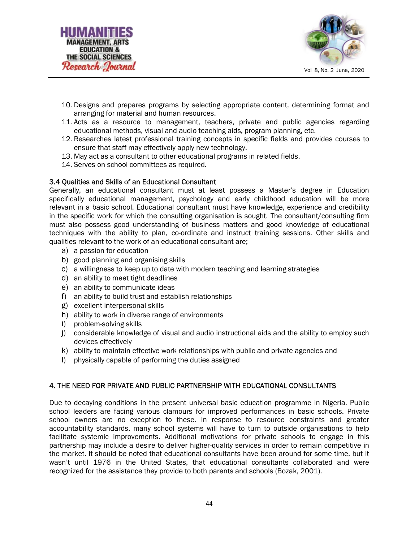



- 10. Designs and prepares programs by selecting appropriate content, determining format and arranging for material and human resources.
- 11. Acts as a resource to management, teachers, private and public agencies regarding educational methods, visual and audio teaching aids, program planning, etc.
- 12. Researches latest professional training concepts in specific fields and provides courses to ensure that staff may effectively apply new technology.
- 13. May act as a consultant to other educational programs in related fields.
- 14. Serves on school committees as required.

#### 3.4 Qualities and Skills of an Educational Consultant

Generally, an educational consultant must at least possess a Master's degree in Education specifically educational management, psychology and early childhood education will be more relevant in a basic school. Educational consultant must have knowledge, experience and credibility in the specific work for which the consulting organisation is sought. The consultant/consulting firm must also possess good understanding of business matters and good knowledge of educational techniques with the ability to plan, co-ordinate and instruct training sessions. Other skills and qualities relevant to the work of an educational consultant are;

- a) a passion for education
- b) good planning and organising skills
- c) a willingness to keep up to date with modern teaching and learning strategies
- d) an ability to meet tight deadlines
- e) an ability to communicate ideas
- f) an ability to build trust and establish relationships
- g) excellent interpersonal skills
- h) ability to work in diverse range of environments
- i) problem-solving skills
- j) considerable knowledge of visual and audio instructional aids and the ability to employ such devices effectively
- k) ability to maintain effective work relationships with public and private agencies and
- l) physically capable of performing the duties assigned

### 4. THE NEED FOR PRIVATE AND PUBLIC PARTNERSHIP WITH EDUCATIONAL CONSULTANTS

Due to decaying conditions in the present universal basic education programme in Nigeria. Public school leaders are facing various clamours for improved performances in basic schools. Private school owners are no exception to these. In response to resource constraints and greater accountability standards, many school systems will have to turn to outside organisations to help facilitate systemic improvements. Additional motivations for private schools to engage in this partnership may include a desire to deliver higher-quality services in order to remain competitive in the market. It should be noted that educational consultants have been around for some time, but it wasn't until 1976 in the United States, that educational consultants collaborated and were recognized for the assistance they provide to both parents and schools (Bozak, 2001).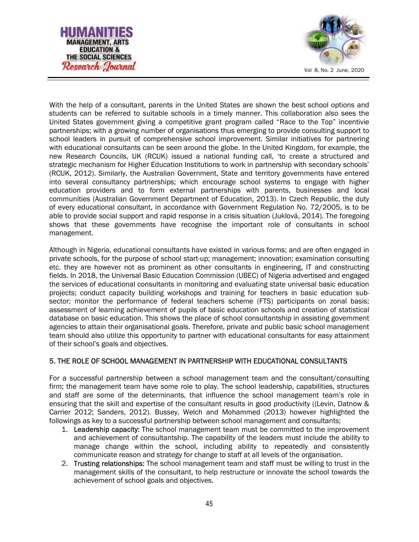



With the help of a consultant, parents in the United States are shown the best school options and students can be referred to suitable schools in a timely manner. This collaboration also sees the United States government giving a competitive grant program called "Race to the Top" incentivie partnerships; with a growing number of organisations thus emerging to provide consulting support to school leaders in pursuit of comprehensive school improvement. Similar initiatives for partnering with educational consultants can be seen around the globe. In the United Kingdom, for example, the new Research Councils, UK (RCUK) issued a national funding call, 'to create a structured and strategic mechanism for Higher Education Institutions to work in partnership with secondary schools' (RCUK, 2012). Similarly, the Australian Government, State and territory governments have entered into several consultancy partnerships; which encourage school systems to engage with higher education providers and to form external partnerships with parents, businesses and local communities (Australian Government Department of Education, 2013). In Czech Republic, the duty of every educational consultant, in accordance with Government Regulation No. 72/2005, is to be able to provide social support and rapid response in a crisis situation (Juklová, 2014). The foregoing shows that these governments have recognise the important role of consultants in school management.

Although in Nigeria, educational consultants have existed in various forms; and are often engaged in private schools, for the purpose of school start-up; management; innovation; examination consulting etc. they are however not as prominent as other consultants in engineering, IT and constructing fields. In 2018, the Universal Basic Education Commission (UBEC) of Nigeria advertised and engaged the services of educational consultants in monitoring and evaluating state universal basic education projects; conduct capacity building workshops and training for teachers in basic education subsector; monitor the performance of federal teachers scheme (FTS) participants on zonal basis; assessment of learning achievement of pupils of basic education schools and creation of statistical database on basic education. This shows the place of school consultantship in assisting government agencies to attain their organisational goals. Therefore, private and public basic school management team should also utilize this opportunity to partner with educational consultants for easy attainment of their school's goals and objectives.

## 5. THE ROLE OF SCHOOL MANAGEMENT IN PARTNERSHIP WITH EDUCATIONAL CONSULTANTS

For a successful partnership between a school management team and the consultant/consulting firm; the management team have some role to play. The school leadership, capabilities, structures and staff are some of the determinants, that influence the school management team's role in ensuring that the skill and expertise of the consultant results in good productivity ((Levin, Datnow & Carrier 2012; Sanders, 2012). Bussey, Welch and Mohammed (2013) however highlighted the followings as key to a successful partnership between school management and consultants;

- 1. Leadership capacity: The school management team must be committed to the improvement and achievement of consultantship. The capability of the leaders must include the ability to manage change within the school, including ability to repeatedly and consistently communicate reason and strategy for change to staff at all levels of the organisation.
- 2. Trusting relationships: The school management team and staff must be willing to trust in the management skills of the consultant, to help restructure or innovate the school towards the achievement of school goals and objectives.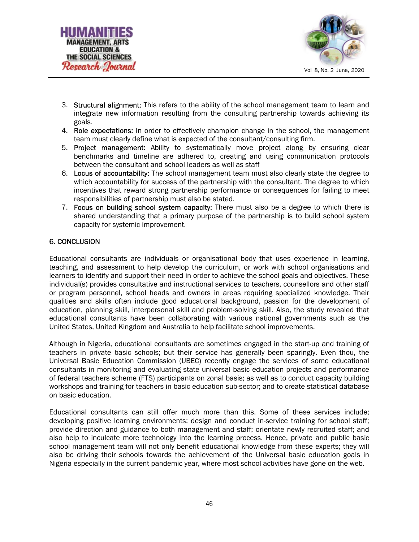



- 3. Structural alignment: This refers to the ability of the school management team to learn and integrate new information resulting from the consulting partnership towards achieving its goals.
- 4. Role expectations: In order to effectively champion change in the school, the management team must clearly define what is expected of the consultant/consulting firm.
- 5. Project management: Ability to systematically move project along by ensuring clear benchmarks and timeline are adhered to, creating and using communication protocols between the consultant and school leaders as well as staff
- 6. Locus of accountability: The school management team must also clearly state the degree to which accountability for success of the partnership with the consultant. The degree to which incentives that reward strong partnership performance or consequences for failing to meet responsibilities of partnership must also be stated.
- 7. Focus on building school system capacity: There must also be a degree to which there is shared understanding that a primary purpose of the partnership is to build school system capacity for systemic improvement.

### 6. CONCLUSION

Educational consultants are individuals or organisational body that uses experience in learning, teaching, and assessment to help develop the curriculum, or work with school organisations and learners to identify and support their need in order to achieve the school goals and objectives. These individual(s) provides consultative and instructional services to teachers, counsellors and other staff or program personnel, school heads and owners in areas requiring specialized knowledge. Their qualities and skills often include good educational background, passion for the development of education, planning skill, interpersonal skill and problem-solving skill. Also, the study revealed that educational consultants have been collaborating with various national governments such as the United States, United Kingdom and Australia to help facilitate school improvements.

Although in Nigeria, educational consultants are sometimes engaged in the start-up and training of teachers in private basic schools; but their service has generally been sparingly. Even thou, the Universal Basic Education Commission (UBEC) recently engage the services of some educational consultants in monitoring and evaluating state universal basic education projects and performance of federal teachers scheme (FTS) participants on zonal basis; as well as to conduct capacity building workshops and training for teachers in basic education sub-sector; and to create statistical database on basic education.

Educational consultants can still offer much more than this. Some of these services include; developing positive learning environments; design and conduct in-service training for school staff; provide direction and guidance to both management and staff; orientate newly recruited staff; and also help to inculcate more technology into the learning process. Hence, private and public basic school management team will not only benefit educational knowledge from these experts; they will also be driving their schools towards the achievement of the Universal basic education goals in Nigeria especially in the current pandemic year, where most school activities have gone on the web.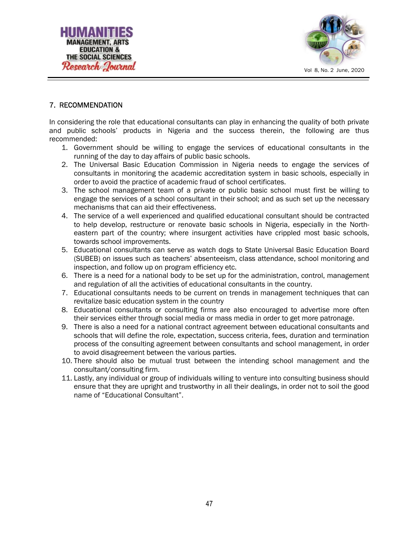



## 7. RECOMMENDATION

In considering the role that educational consultants can play in enhancing the quality of both private and public schools' products in Nigeria and the success therein, the following are thus recommended:

- 1. Government should be willing to engage the services of educational consultants in the running of the day to day affairs of public basic schools.
- 2. The Universal Basic Education Commission in Nigeria needs to engage the services of consultants in monitoring the academic accreditation system in basic schools, especially in order to avoid the practice of academic fraud of school certificates.
- 3. The school management team of a private or public basic school must first be willing to engage the services of a school consultant in their school; and as such set up the necessary mechanisms that can aid their effectiveness.
- 4. The service of a well experienced and qualified educational consultant should be contracted to help develop, restructure or renovate basic schools in Nigeria, especially in the Northeastern part of the country; where insurgent activities have crippled most basic schools, towards school improvements.
- 5. Educational consultants can serve as watch dogs to State Universal Basic Education Board (SUBEB) on issues such as teachers' absenteeism, class attendance, school monitoring and inspection, and follow up on program efficiency etc.
- 6. There is a need for a national body to be set up for the administration, control, management and regulation of all the activities of educational consultants in the country.
- 7. Educational consultants needs to be current on trends in management techniques that can revitalize basic education system in the country
- 8. Educational consultants or consulting firms are also encouraged to advertise more often their services either through social media or mass media in order to get more patronage.
- 9. There is also a need for a national contract agreement between educational consultants and schools that will define the role, expectation, success criteria, fees, duration and termination process of the consulting agreement between consultants and school management, in order to avoid disagreement between the various parties.
- 10. There should also be mutual trust between the intending school management and the consultant/consulting firm.
- 11. Lastly, any individual or group of individuals willing to venture into consulting business should ensure that they are upright and trustworthy in all their dealings, in order not to soil the good name of "Educational Consultant".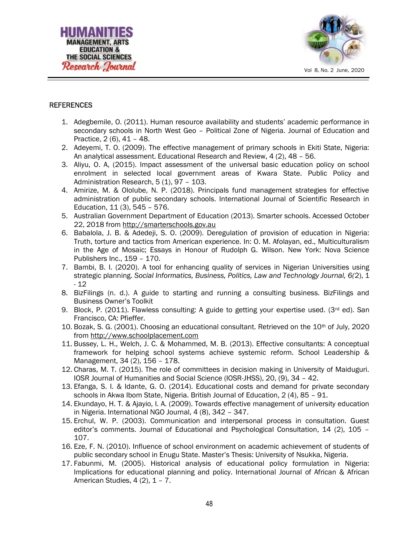



#### **REFERENCES**

- 1. Adegbemile, O. (2011). Human resource availability and students' academic performance in secondary schools in North West Geo – Political Zone of Nigeria. Journal of Education and Practice, 2 (6), 41 – 48.
- 2. Adeyemi, T. O. (2009). The effective management of primary schools in Ekiti State, Nigeria: An analytical assessment. Educational Research and Review, 4 (2), 48 – 56.
- 3. Aliyu, O. A, (2015). Impact assessment of the universal basic education policy on school enrolment in selected local government areas of Kwara State. Public Policy and Administration Research, 5 (1), 97 - 103.
- 4. Amirize, M. & Ololube, N. P. (2018). Principals fund management strategies for effective administration of public secondary schools. International Journal of Scientific Research in Education, 11 (3), 545 – 576.
- 5. Australian Government Department of Education (2013). Smarter schools. Accessed October 22, 2018 from http://smarterschools.gov.au
- 6. Babalola, J. B. & Adedeji, S. O. (2009). Deregulation of provision of education in Nigeria: Truth, torture and tactics from American experience. In: O. M. Afolayan, ed., Multiculturalism in the Age of Mosaic; Essays in Honour of Rudolph G. Wilson. New York: Nova Science Publishers Inc., 159 – 170.
- 7. Bambi, B. I. (2020). A tool for enhancing quality of services in Nigerian Universities using strategic planning. Social Informatics, Business, Politics, Law and Technology Journal, 6(2), 1 - 12
- 8. BizFilings (n. d.). A guide to starting and running a consulting business. BizFilings and Business Owner's Toolkit
- 9. Block, P. (2011). Flawless consulting: A guide to getting your expertise used. (3<sup>rd</sup> ed). San Francisco, CA: Pfieffer.
- 10. Bozak, S. G. (2001). Choosing an educational consultant. Retrieved on the  $10<sup>th</sup>$  of July, 2020 from http://www.schoolplacement.com
- 11. Bussey, L. H., Welch, J. C. & Mohammed, M. B. (2013). Effective consultants: A conceptual framework for helping school systems achieve systemic reform. School Leadership & Management, 34 (2), 156 – 178.
- 12. Charas, M. T. (2015). The role of committees in decision making in University of Maiduguri. IOSR Journal of Humanities and Social Science (IOSR-JHSS), 20, (9), 34 – 42.
- 13. Efanga, S. I. & Idante, G. O. (2014). Educational costs and demand for private secondary schools in Akwa Ibom State, Nigeria. British Journal of Education, 2 (4), 85 – 91.
- 14. Ekundayo, H. T. & Ajayio, I. A. (2009). Towards effective management of university education in Nigeria. International NGO Journal, 4 (8), 342 – 347.
- 15. Erchul, W. P. (2003). Communication and interpersonal process in consultation. Guest editor's comments. Journal of Educational and Psychological Consultation, 14 (2), 105 – 107.
- 16. Eze, F. N. (2010). Influence of school environment on academic achievement of students of public secondary school in Enugu State. Master's Thesis: University of Nsukka, Nigeria.
- 17. Fabunmi, M. (2005). Historical analysis of educational policy formulation in Nigeria: Implications for educational planning and policy. International Journal of African & African American Studies,  $4(2)$ ,  $1 - 7$ .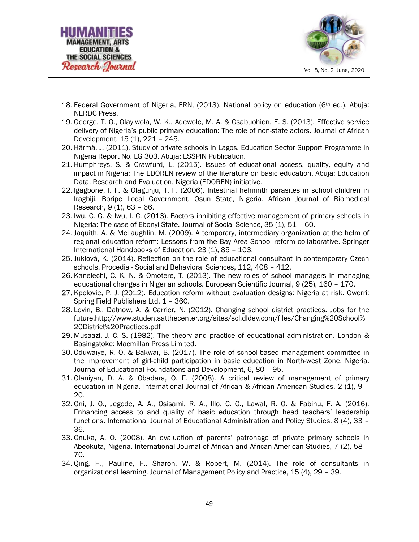



- 18. Federal Government of Nigeria, FRN, (2013). National policy on education ( $6<sup>th</sup>$  ed.). Abuja: NERDC Press.
- 19. George, T. O., Olayiwola, W. K., Adewole, M. A. & Osabuohien, E. S. (2013). Effective service delivery of Nigeria's public primary education: The role of non-state actors. Journal of African Development, 15 (1), 221 – 245.
- 20. Härmä, J. (2011). Study of private schools in Lagos. Education Sector Support Programme in Nigeria Report No. LG 303. Abuja: ESSPIN Publication.
- 21. Humphreys, S. & Crawfurd, L. (2015). Issues of educational access, quality, equity and impact in Nigeria: The EDOREN review of the literature on basic education. Abuja: Education Data, Research and Evaluation, Nigeria (EDOREN) initiative.
- 22. Igagbone, I. F. & Olagunju, T. F. (2006). Intestinal helminth parasites in school children in Iragbiji, Boripe Local Government, Osun State, Nigeria. African Journal of Biomedical Research, 9 (1), 63 – 66.
- 23. Iwu, C. G. & Iwu, I. C. (2013). Factors inhibiting effective management of primary schools in Nigeria: The case of Ebonyi State. Journal of Social Science, 35 (1), 51 – 60.
- 24. Jaquith, A. & McLaughlin, M. (2009). A temporary, intermediary organization at the helm of regional education reform: Lessons from the Bay Area School reform collaborative. Springer International Handbooks of Education, 23 (1), 85 – 103.
- 25. Juklová, K. (2014). Reflection on the role of educational consultant in contemporary Czech schools. Procedia - Social and Behavioral Sciences, 112, 408 – 412.
- 26. Kanelechi, C. K. N. & Omotere, T. (2013). The new roles of school managers in managing educational changes in Nigerian schools. European Scientific Journal, 9 (25), 160 – 170.
- 27. Kpolovie, P. J. (2012). Education reform without evaluation designs: Nigeria at risk. Owerri: Spring Field Publishers Ltd. 1 – 360.
- 28. Levin, B., Datnow, A. & Carrier, N. (2012). Changing school district practices. Jobs for the future.http://www.studentsatthecenter.org/sites/scl.dldev.com/files/Changing%20School% 20District%20Practices.pdf
- 29. Musaazi, J. C. S. (1982). The theory and practice of educational administration. London & Basingstoke: Macmillan Press Limited.
- 30. Oduwaiye, R. O. & Bakwai, B. (2017). The role of school-based management committee in the improvement of girl-child participation in basic education in North-west Zone, Nigeria. Journal of Educational Foundations and Development, 6, 80 – 95.
- 31. Olaniyan, D. A. & Obadara, O. E. (2008). A critical review of management of primary education in Nigeria. International Journal of African & African American Studies, 2 (1), 9 – 20.
- 32. Oni, J. O., Jegede, A. A., Osisami, R. A., Illo, C. O., Lawal, R. O. & Fabinu, F. A. (2016). Enhancing access to and quality of basic education through head teachers' leadership functions. International Journal of Educational Administration and Policy Studies, 8 (4), 33 – 36.
- 33. Onuka, A. O. (2008). An evaluation of parents' patronage of private primary schools in Abeokuta, Nigeria. International Journal of African and African-American Studies, 7 (2), 58 – 70.
- 34. Qing, H., Pauline, F., Sharon, W. & Robert, M. (2014). The role of consultants in organizational learning. Journal of Management Policy and Practice, 15 (4), 29 – 39.